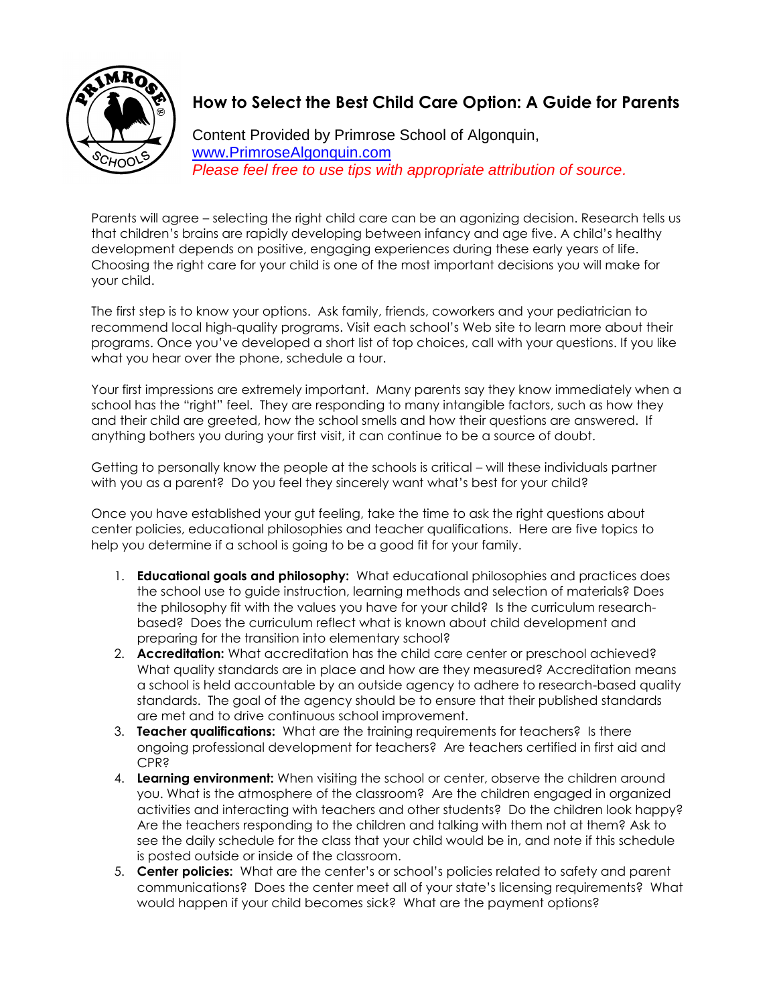

## **How to Select the Best Child Care Option: A Guide for Parents**

Content Provided by Primrose School of Algonquin, [www.PrimroseAlgonquin.com](http://www.primrosealgonquin.com/) *Please feel free to use tips with appropriate attribution of source.*

Parents will agree – selecting the right child care can be an agonizing decision. Research tells us that children's brains are rapidly developing between infancy and age five. A child's healthy development depends on positive, engaging experiences during these early years of life. Choosing the right care for your child is one of the most important decisions you will make for your child.

The first step is to know your options. Ask family, friends, coworkers and your pediatrician to recommend local high-quality programs. Visit each school's Web site to learn more about their programs. Once you've developed a short list of top choices, call with your questions. If you like what you hear over the phone, schedule a tour.

Your first impressions are extremely important. Many parents say they know immediately when a school has the "right" feel. They are responding to many intangible factors, such as how they and their child are greeted, how the school smells and how their questions are answered. If anything bothers you during your first visit, it can continue to be a source of doubt.

Getting to personally know the people at the schools is critical – will these individuals partner with you as a parent? Do you feel they sincerely want what's best for your child?

Once you have established your gut feeling, take the time to ask the right questions about center policies, educational philosophies and teacher qualifications. Here are five topics to help you determine if a school is going to be a good fit for your family.

- 1. **Educational goals and philosophy:** What educational philosophies and practices does the school use to guide instruction, learning methods and selection of materials? Does the philosophy fit with the values you have for your child? Is the curriculum researchbased? Does the curriculum reflect what is known about child development and preparing for the transition into elementary school?
- 2. **Accreditation:** What accreditation has the child care center or preschool achieved? What quality standards are in place and how are they measured? Accreditation means a school is held accountable by an outside agency to adhere to research-based quality standards. The goal of the agency should be to ensure that their published standards are met and to drive continuous school improvement.
- 3. **Teacher qualifications:** What are the training requirements for teachers? Is there ongoing professional development for teachers? Are teachers certified in first aid and CPR?
- 4. **Learning environment:** When visiting the school or center, observe the children around you. What is the atmosphere of the classroom? Are the children engaged in organized activities and interacting with teachers and other students? Do the children look happy? Are the teachers responding to the children and talking with them not at them? Ask to see the daily schedule for the class that your child would be in, and note if this schedule is posted outside or inside of the classroom.
- 5. **Center policies:** What are the center's or school's policies related to safety and parent communications? Does the center meet all of your state's licensing requirements? What would happen if your child becomes sick? What are the payment options?